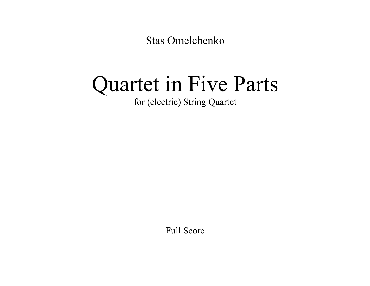Stas Omelchenko

# Quartet in Five Parts

for (electric) String Quartet

Full Score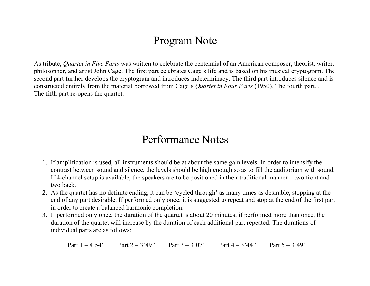# Program Note

As tribute, *Quartet in Five Parts* was written to celebrate the centennial of an American composer, theorist, writer, philosopher, and artist John Cage. The first part celebrates Cage's life and is based on his musical cryptogram. The second part further develops the cryptogram and introduces indeterminacy. The third part introduces silence and is constructed entirely from the material borrowed from Cage's *Quartet in Four Parts* (1950). The fourth part... The fifth part re-opens the quartet.

# Performance Notes

- 1. If amplification is used, all instruments should be at about the same gain levels. In order to intensify the contrast between sound and silence, the levels should be high enough so as to fill the auditorium with sound. If 4-channel setup is available, the speakers are to be positioned in their traditional manner—two front and two back.
- 2. As the quartet has no definite ending, it can be 'cycled through' as many times as desirable, stopping at the end of any part desirable. If performed only once, it is suggested to repeat and stop at the end of the first part in order to create a balanced harmonic completion.
- 3. If performed only once, the duration of the quartet is about 20 minutes; if performed more than once, the duration of the quartet will increase by the duration of each additional part repeated. The durations of individual parts are as follows:

Part  $1 - 4.54$ " Part  $2 - 3.49$ " Part  $3 - 3.07$ " Part  $4 - 3.44$ " Part  $5 - 3.49$ "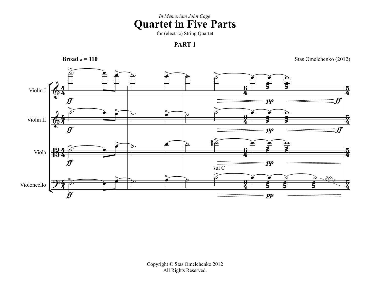## *In Memoriam John Cage* **Quartet in Five Parts**

for (electric) String Quartet

## **PART 1**

**Broad**  $\sqrt{ } = 110$ 

Stas Omelchenko (2012)

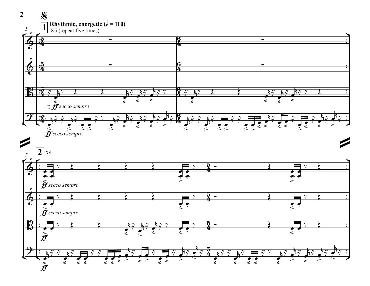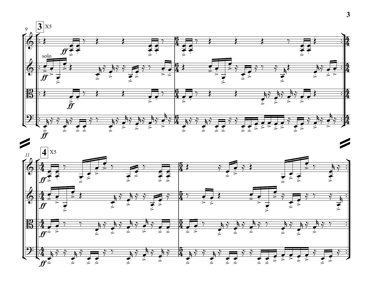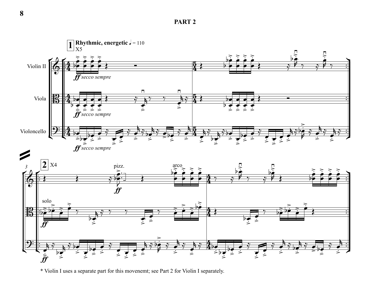

\* Violin I uses a separate part for this movenemt; see Part 2 for Violin I separately.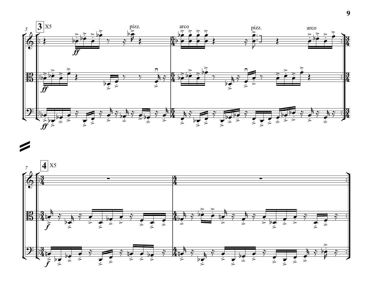



=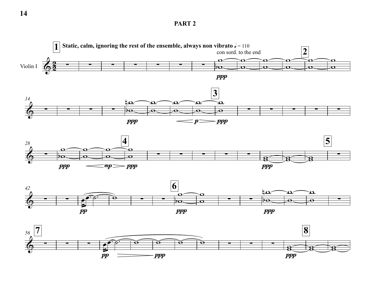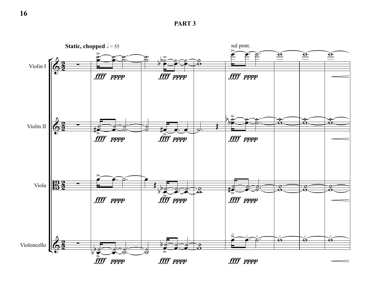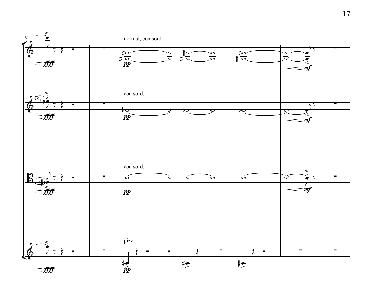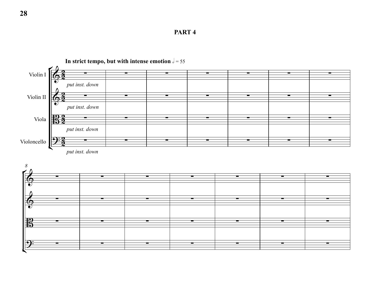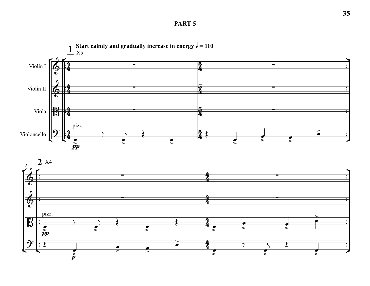

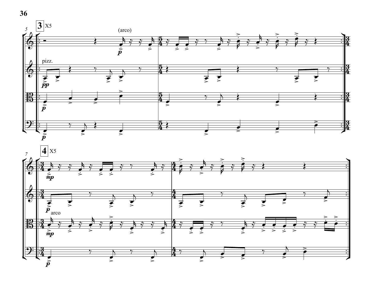